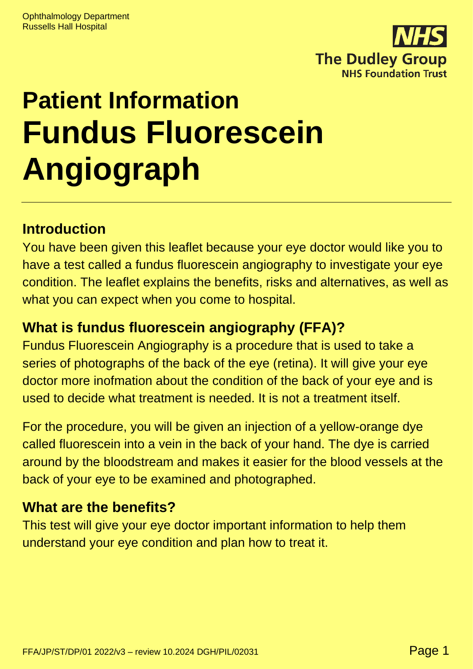

# **Patient Information Fundus Fluorescein Angiograph**

## **Introduction**

You have been given this leaflet because your eye doctor would like you to have a test called a fundus fluorescein angiography to investigate your eye condition. The leaflet explains the benefits, risks and alternatives, as well as what you can expect when you come to hospital.

## **What is fundus fluorescein angiography (FFA)?**

Fundus Fluorescein Angiography is a procedure that is used to take a series of photographs of the back of the eye (retina). It will give your eye doctor more inofmation about the condition of the back of your eye and is used to decide what treatment is needed. It is not a treatment itself.

For the procedure, you will be given an injection of a yellow-orange dye called fluorescein into a vein in the back of your hand. The dye is carried around by the bloodstream and makes it easier for the blood vessels at the back of your eye to be examined and photographed.

### **What are the benefits?**

This test will give your eye doctor important information to help them understand your eye condition and plan how to treat it.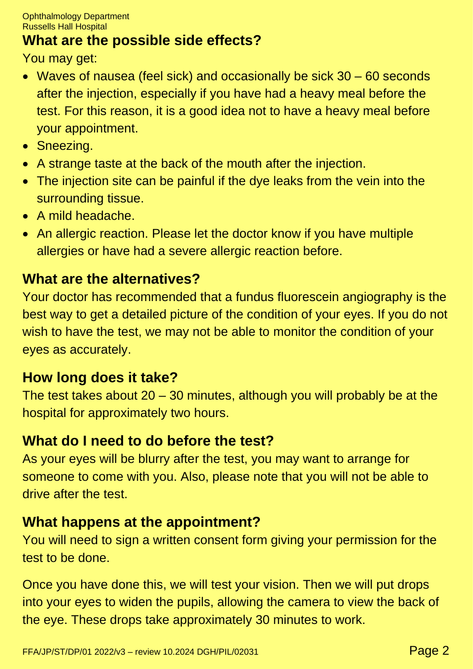### **What are the possible side effects?**

You may get:

- Waves of nausea (feel sick) and occasionally be sick 30 60 seconds after the injection, especially if you have had a heavy meal before the test. For this reason, it is a good idea not to have a heavy meal before your appointment.
- Sneezing.
- A strange taste at the back of the mouth after the injection.
- The injection site can be painful if the dye leaks from the vein into the surrounding tissue.
- A mild headache.
- An allergic reaction. Please let the doctor know if you have multiple allergies or have had a severe allergic reaction before.

# **What are the alternatives?**

Your doctor has recommended that a fundus fluorescein angiography is the best way to get a detailed picture of the condition of your eyes. If you do not wish to have the test, we may not be able to monitor the condition of your eyes as accurately.

## **How long does it take?**

The test takes about 20 – 30 minutes, although you will probably be at the hospital for approximately two hours.

## **What do I need to do before the test?**

As your eyes will be blurry after the test, you may want to arrange for someone to come with you. Also, please note that you will not be able to drive after the test.

## **What happens at the appointment?**

You will need to sign a written consent form giving your permission for the test to be done.

Once you have done this, we will test your vision. Then we will put drops into your eyes to widen the pupils, allowing the camera to view the back of the eye. These drops take approximately 30 minutes to work.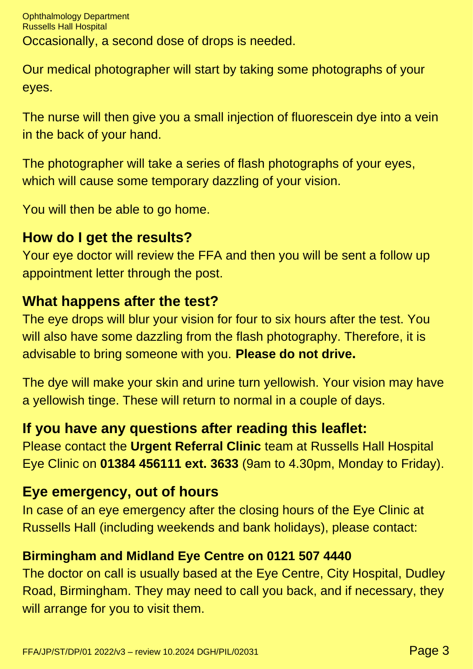Ophthalmology Department Russells Hall Hospital Occasionally, a second dose of drops is needed.

Our medical photographer will start by taking some photographs of your eyes.

The nurse will then give you a small injection of fluorescein dye into a vein in the back of your hand.

The photographer will take a series of flash photographs of your eyes, which will cause some temporary dazzling of your vision.

You will then be able to go home.

#### **How do I get the results?**

Your eye doctor will review the FFA and then you will be sent a follow up appointment letter through the post.

#### **What happens after the test?**

The eye drops will blur your vision for four to six hours after the test. You will also have some dazzling from the flash photography. Therefore, it is advisable to bring someone with you. **Please do not drive.**

The dye will make your skin and urine turn yellowish. Your vision may have a yellowish tinge. These will return to normal in a couple of days.

#### **If you have any questions after reading this leaflet:**

Please contact the **Urgent Referral Clinic** team at Russells Hall Hospital Eye Clinic on **01384 456111 ext. 3633** (9am to 4.30pm, Monday to Friday).

#### **Eye emergency, out of hours**

In case of an eye emergency after the closing hours of the Eye Clinic at Russells Hall (including weekends and bank holidays), please contact:

#### **Birmingham and Midland Eye Centre on 0121 507 4440**

The doctor on call is usually based at the Eye Centre, City Hospital, Dudley Road, Birmingham. They may need to call you back, and if necessary, they will arrange for you to visit them.